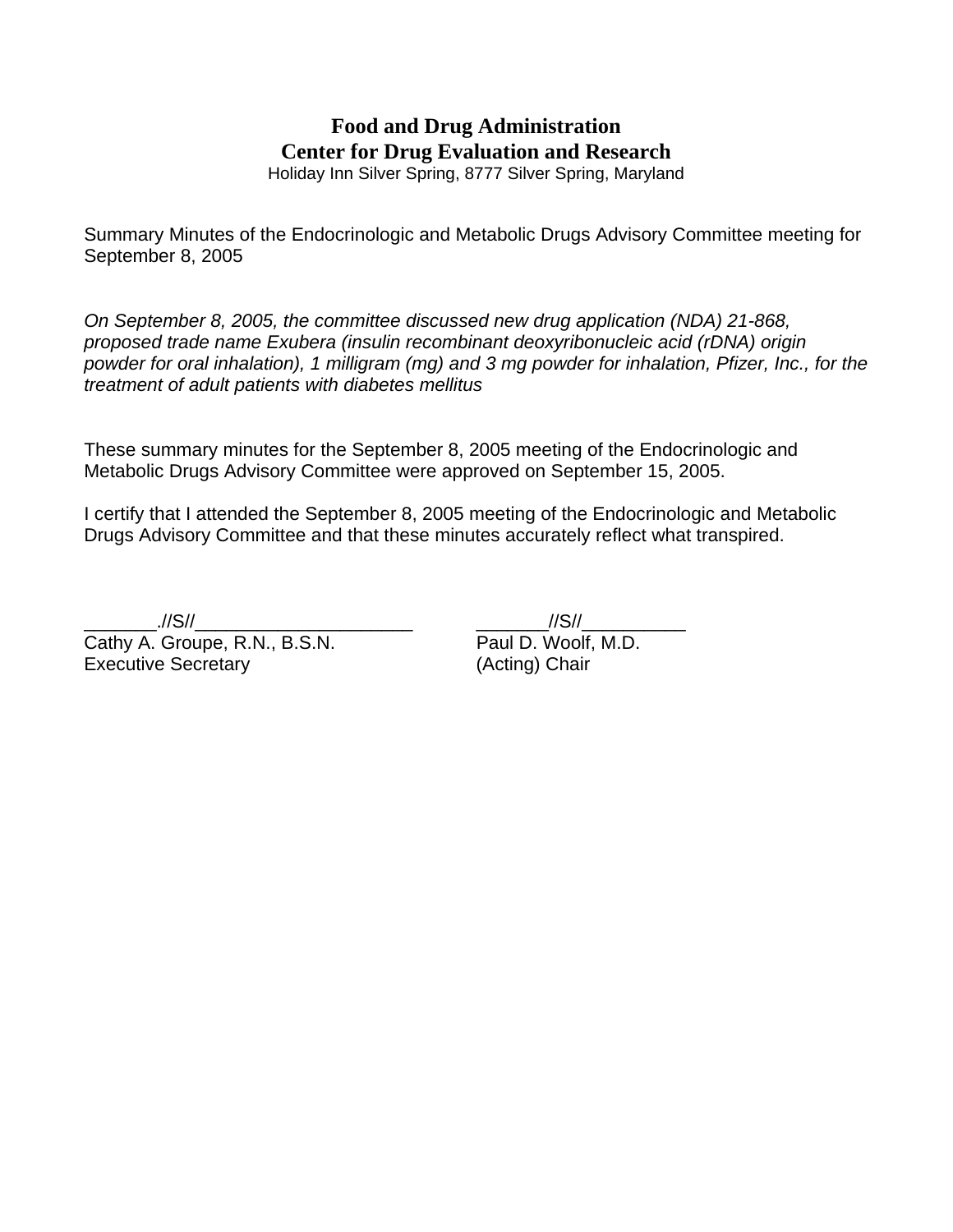# **Food and Drug Administration Center for Drug Evaluation and Research**

Holiday Inn Silver Spring, 8777 Silver Spring, Maryland

Summary Minutes of the Endocrinologic and Metabolic Drugs Advisory Committee meeting for September 8, 2005

*On September 8, 2005, the committee discussed new drug application (NDA) 21-868, proposed trade name Exubera (insulin recombinant deoxyribonucleic acid (rDNA) origin powder for oral inhalation), 1 milligram (mg) and 3 mg powder for inhalation, Pfizer, Inc., for the treatment of adult patients with diabetes mellitus* 

These summary minutes for the September 8, 2005 meeting of the Endocrinologic and Metabolic Drugs Advisory Committee were approved on September 15, 2005.

I certify that I attended the September 8, 2005 meeting of the Endocrinologic and Metabolic Drugs Advisory Committee and that these minutes accurately reflect what transpired.

Cathy A. Groupe, R.N., B.S.N. Paul D. Woolf, M.D. Executive Secretary(Acting) Chair

\_\_\_\_\_\_\_.//S//\_\_\_\_\_\_\_\_\_\_\_\_\_\_\_\_\_\_\_\_\_ \_\_\_\_\_\_\_//S//\_\_\_\_\_\_\_\_\_\_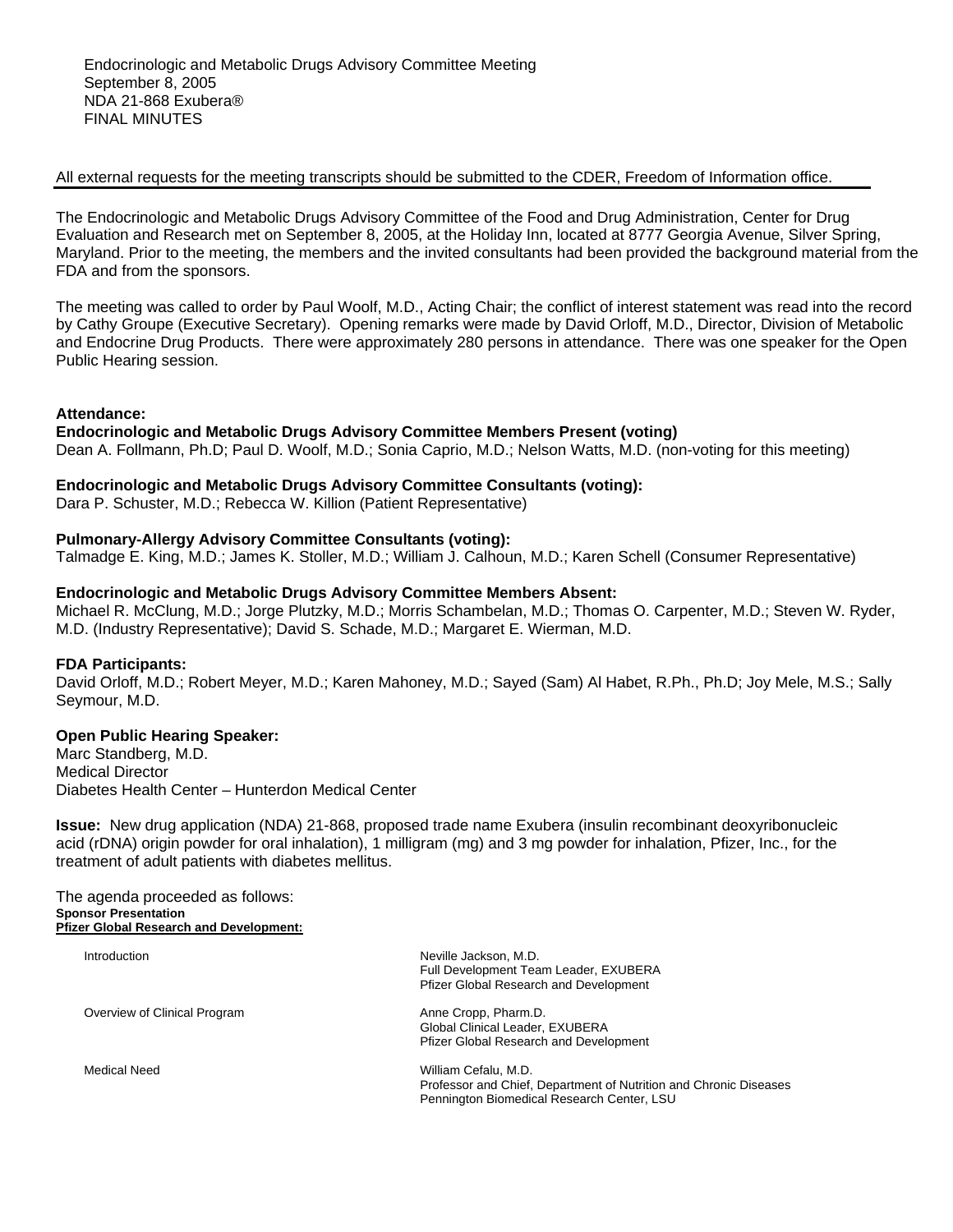#### All external requests for the meeting transcripts should be submitted to the CDER, Freedom of Information office.

The Endocrinologic and Metabolic Drugs Advisory Committee of the Food and Drug Administration, Center for Drug Evaluation and Research met on September 8, 2005, at the Holiday Inn, located at 8777 Georgia Avenue, Silver Spring, Maryland. Prior to the meeting, the members and the invited consultants had been provided the background material from the FDA and from the sponsors.

The meeting was called to order by Paul Woolf, M.D., Acting Chair; the conflict of interest statement was read into the record by Cathy Groupe (Executive Secretary). Opening remarks were made by David Orloff, M.D., Director, Division of Metabolic and Endocrine Drug Products. There were approximately 280 persons in attendance. There was one speaker for the Open Public Hearing session.

# **Attendance:**

#### **Endocrinologic and Metabolic Drugs Advisory Committee Members Present (voting)**

Dean A. Follmann, Ph.D; Paul D. Woolf, M.D.; Sonia Caprio, M.D.; Nelson Watts, M.D. (non-voting for this meeting)

# **Endocrinologic and Metabolic Drugs Advisory Committee Consultants (voting):**

Dara P. Schuster, M.D.; Rebecca W. Killion (Patient Representative)

# **Pulmonary-Allergy Advisory Committee Consultants (voting):**

Talmadge E. King, M.D.; James K. Stoller, M.D.; William J. Calhoun, M.D.; Karen Schell (Consumer Representative)

# **Endocrinologic and Metabolic Drugs Advisory Committee Members Absent:**

Michael R. McClung, M.D.; Jorge Plutzky, M.D.; Morris Schambelan, M.D.; Thomas O. Carpenter, M.D.; Steven W. Ryder, M.D. (Industry Representative); David S. Schade, M.D.; Margaret E. Wierman, M.D.

#### **FDA Participants:**

David Orloff, M.D.; Robert Meyer, M.D.; Karen Mahoney, M.D.; Sayed (Sam) Al Habet, R.Ph., Ph.D; Joy Mele, M.S.; Sally Seymour, M.D.

# **Open Public Hearing Speaker:**

Marc Standberg, M.D. Medical Director Diabetes Health Center – Hunterdon Medical Center

**Issue:** New drug application (NDA) 21-868, proposed trade name Exubera (insulin recombinant deoxyribonucleic acid (rDNA) origin powder for oral inhalation), 1 milligram (mg) and 3 mg powder for inhalation, Pfizer, Inc., for the treatment of adult patients with diabetes mellitus.

The agenda proceeded as follows: **Sponsor Presentation Pfizer Global Research and Development:**

| Introduction                 | Neville Jackson, M.D.<br>Full Development Team Leader, EXUBERA<br><b>Pfizer Global Research and Development</b>                         |
|------------------------------|-----------------------------------------------------------------------------------------------------------------------------------------|
| Overview of Clinical Program | Anne Cropp, Pharm.D.<br>Global Clinical Leader, EXUBERA<br><b>Pfizer Global Research and Development</b>                                |
| Medical Need                 | William Cefalu, M.D.<br>Professor and Chief, Department of Nutrition and Chronic Diseases<br>Pennington Biomedical Research Center, LSU |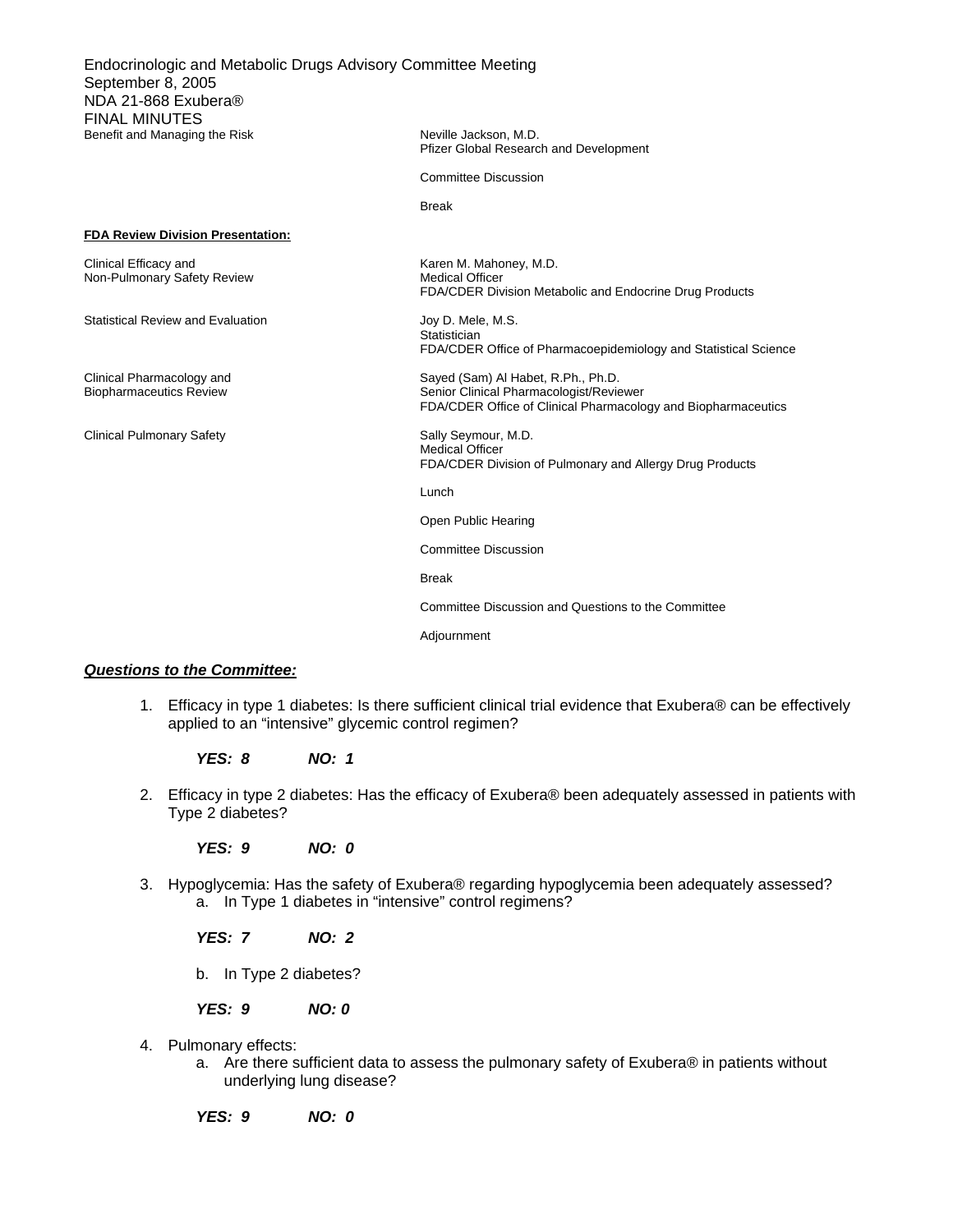Endocrinologic and Metabolic Drugs Advisory Committee Meeting September 8, 2005 NDA 21-868 Exubera® FINAL MINUTES Benefit and Managing the Risk Neville Jackson, M.D.

Pfizer Global Research and Development

Committee Discussion

**Break Break Break** 

#### **FDA Review Division Presentation:**

| Clinical Efficacy and       | Karen M. Mahoney, M.D.                                  |
|-----------------------------|---------------------------------------------------------|
| Non-Pulmonary Safety Review | <b>Medical Officer</b>                                  |
|                             | FDA/CDER Division Metabolic and Endocrine Drug Products |

Statistical Review and Evaluation Statistical Review and Evaluation Joy D. Mele, M.S.

Clinical Pulmonary Safety Sally Seymour, M.D.

**Statistician** FDA/CDER Office of Pharmacoepidemiology and Statistical Science

Clinical Pharmacology and Sayed (Sam) Al Habet, R.Ph., Ph.D. Biopharmaceutics Review **Senior Clinical Pharmacologist/Reviewer** Senior Clinical Pharmacologist/Reviewer FDA/CDER Office of Clinical Pharmacology and Biopharmaceutics

> Medical Officer FDA/CDER Division of Pulmonary and Allergy Drug Products

**Lunch Lunch** 

Open Public Hearing

Committee Discussion

**Break Break Break** 

Committee Discussion and Questions to the Committee

Adjournment

#### *Questions to the Committee:*

1. Efficacy in type 1 diabetes: Is there sufficient clinical trial evidence that Exubera® can be effectively applied to an "intensive" glycemic control regimen?

*YES: 8 NO: 1* 

2. Efficacy in type 2 diabetes: Has the efficacy of Exubera® been adequately assessed in patients with Type 2 diabetes?

*YES: 9 NO: 0* 

3. Hypoglycemia: Has the safety of Exubera® regarding hypoglycemia been adequately assessed? a. In Type 1 diabetes in "intensive" control regimens?

*YES: 7 NO: 2* 

b. In Type 2 diabetes?

*YES: 9 NO: 0* 

- 4. Pulmonary effects:
	- a. Are there sufficient data to assess the pulmonary safety of Exubera® in patients without underlying lung disease?

*YES: 9 NO: 0*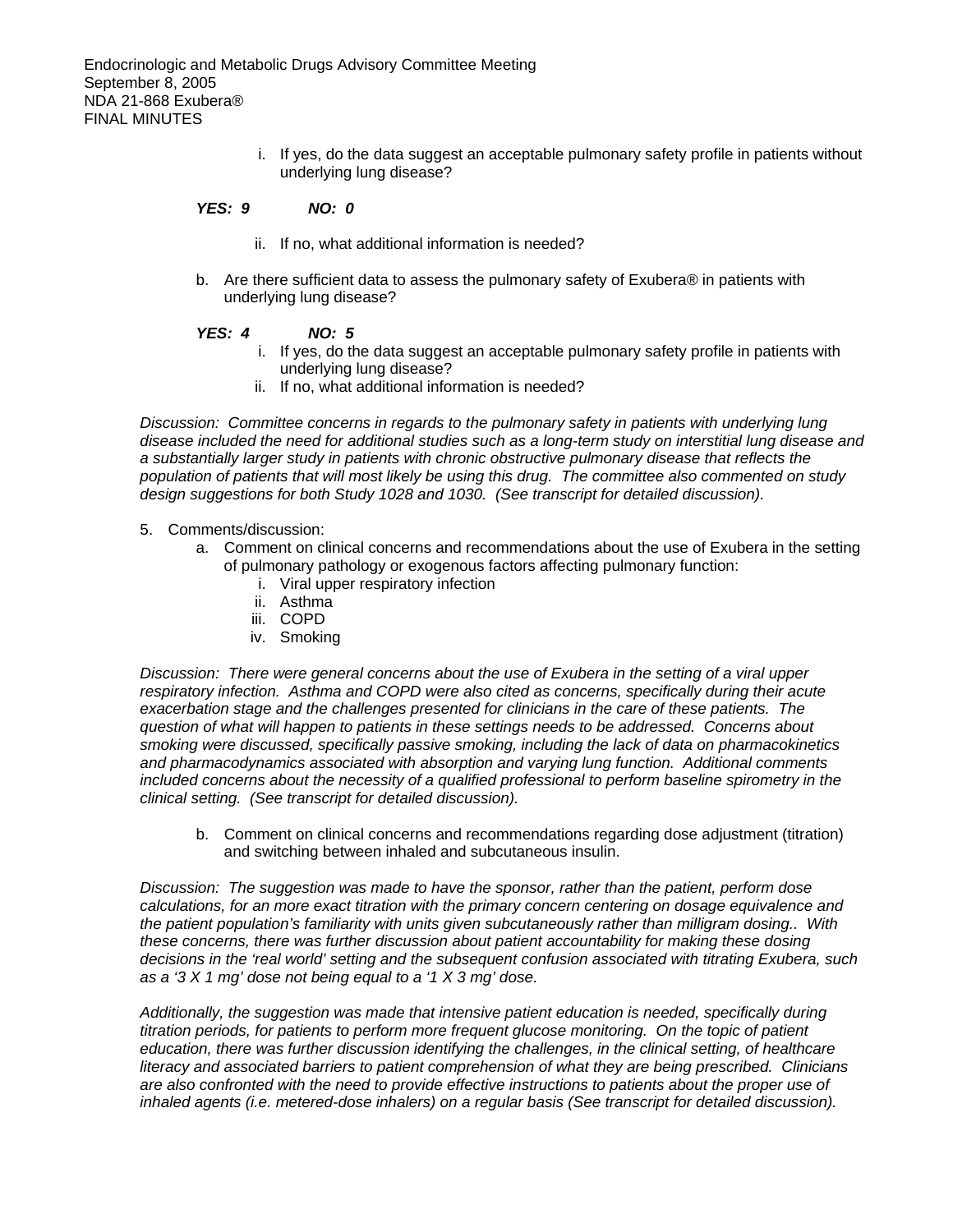i. If yes, do the data suggest an acceptable pulmonary safety profile in patients without underlying lung disease?

### *YES: 9 NO: 0*

- ii. If no, what additional information is needed?
- b. Are there sufficient data to assess the pulmonary safety of Exubera® in patients with underlying lung disease?

# *YES: 4 NO: 5*

- i. If yes, do the data suggest an acceptable pulmonary safety profile in patients with underlying lung disease?
- ii. If no, what additional information is needed?

*Discussion: Committee concerns in regards to the pulmonary safety in patients with underlying lung disease included the need for additional studies such as a long-term study on interstitial lung disease and a substantially larger study in patients with chronic obstructive pulmonary disease that reflects the population of patients that will most likely be using this drug. The committee also commented on study design suggestions for both Study 1028 and 1030. (See transcript for detailed discussion).* 

- 5. Comments/discussion:
	- a. Comment on clinical concerns and recommendations about the use of Exubera in the setting of pulmonary pathology or exogenous factors affecting pulmonary function:
		- i. Viral upper respiratory infection
		- ii. Asthma
		- iii. COPD
		- iv. Smoking

*Discussion: There were general concerns about the use of Exubera in the setting of a viral upper respiratory infection. Asthma and COPD were also cited as concerns, specifically during their acute exacerbation stage and the challenges presented for clinicians in the care of these patients. The question of what will happen to patients in these settings needs to be addressed. Concerns about smoking were discussed, specifically passive smoking, including the lack of data on pharmacokinetics and pharmacodynamics associated with absorption and varying lung function. Additional comments included concerns about the necessity of a qualified professional to perform baseline spirometry in the clinical setting. (See transcript for detailed discussion).* 

b. Comment on clinical concerns and recommendations regarding dose adjustment (titration) and switching between inhaled and subcutaneous insulin.

*Discussion: The suggestion was made to have the sponsor, rather than the patient, perform dose calculations, for an more exact titration with the primary concern centering on dosage equivalence and the patient population's familiarity with units given subcutaneously rather than milligram dosing.. With these concerns, there was further discussion about patient accountability for making these dosing decisions in the 'real world' setting and the subsequent confusion associated with titrating Exubera, such as a '3 X 1 mg' dose not being equal to a '1 X 3 mg' dose.* 

*Additionally, the suggestion was made that intensive patient education is needed, specifically during titration periods, for patients to perform more frequent glucose monitoring. On the topic of patient education, there was further discussion identifying the challenges, in the clinical setting, of healthcare literacy and associated barriers to patient comprehension of what they are being prescribed. Clinicians are also confronted with the need to provide effective instructions to patients about the proper use of inhaled agents (i.e. metered-dose inhalers) on a regular basis (See transcript for detailed discussion).*